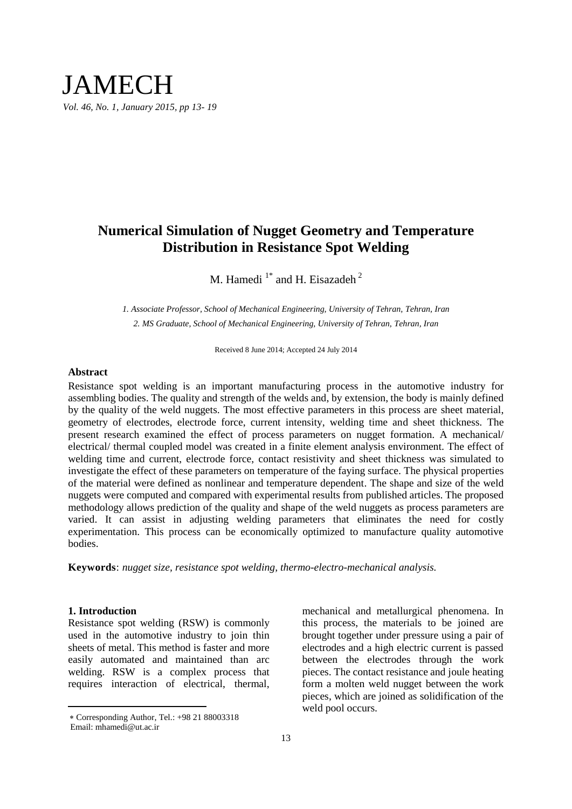# **Numerical Simulation of Nugget Geometry and Temperature Distribution in Resistance Spot Welding**

M. Hamedi<sup>1\*</sup> and H. Eisazadeh<sup>2</sup>

*1. Associate Professor, School of Mechanical Engineering, University of Tehran, Tehran, Iran 2. MS Graduate, School of Mechanical Engineering, University of Tehran, Tehran, Iran*

Received 8 June 2014; Accepted 24 July 2014

# **Abstract**

Resistance spot welding is an important manufacturing process in the automotive industry for assembling bodies. The quality and strength of the welds and, by extension, the body is mainly defined by the quality of the weld nuggets. The most effective parameters in this process are sheet material, geometry of electrodes, electrode force, current intensity, welding time and sheet thickness. The present research examined the effect of process parameters on nugget formation. A mechanical/ electrical/ thermal coupled model was created in a finite element analysis environment. The effect of welding time and current, electrode force, contact resistivity and sheet thickness was simulated to investigate the effect of these parameters on temperature of the faying surface. The physical properties of the material were defined as nonlinear and temperature dependent. The shape and size of the weld nuggets were computed and compared with experimental results from published articles. The proposed methodology allows prediction of the quality and shape of the weld nuggets as process parameters are varied. It can assist in adjusting welding parameters that eliminates the need for costly experimentation. This process can be economically optimized to manufacture quality automotive bodies.

**Keywords**: *nugget size, resistance spot welding, thermo-electro-mechanical analysis.*

# **1. Introduction**

 $\overline{a}$ 

Resistance spot welding (RSW) is commonly used in the automotive industry to join thin sheets of metal. This method is faster and more easily automated and maintained than arc welding. RSW is a complex process that requires interaction of electrical, thermal,

mechanical and metallurgical phenomena. In this process, the materials to be joined are brought together under pressure using a pair of electrodes and a high electric current is passed between the electrodes through the work pieces. The contact resistance and joule heating form a molten weld nugget between the work pieces, which are joined as solidification of the weld pool occurs.

Corresponding Author, Tel.: +98 21 88003318 Email: mhamedi@ut.ac.ir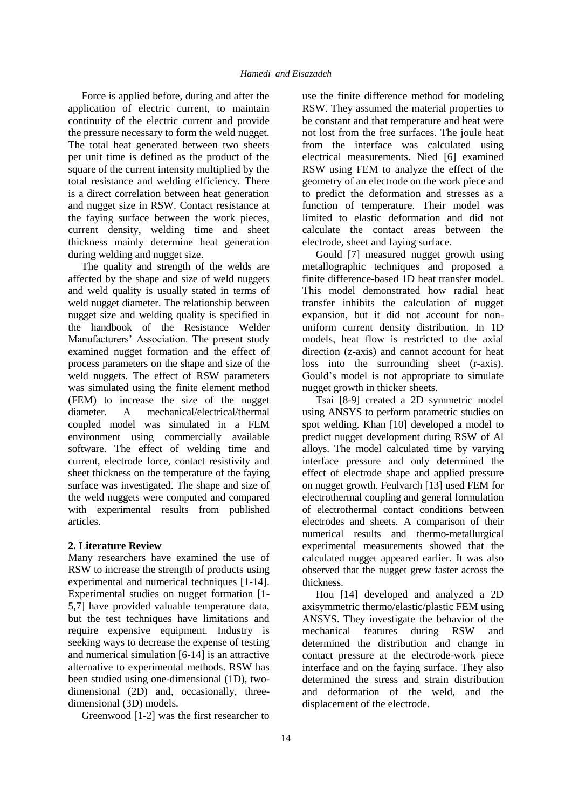Force is applied before, during and after the application of electric current, to maintain continuity of the electric current and provide the pressure necessary to form the weld nugget. The total heat generated between two sheets per unit time is defined as the product of the square of the current intensity multiplied by the total resistance and welding efficiency. There is a direct correlation between heat generation and nugget size in RSW. Contact resistance at the faying surface between the work pieces, current density, welding time and sheet thickness mainly determine heat generation during welding and nugget size.

The quality and strength of the welds are affected by the shape and size of weld nuggets and weld quality is usually stated in terms of weld nugget diameter. The relationship between nugget size and welding quality is specified in the handbook of the Resistance Welder Manufacturers' Association. The present study examined nugget formation and the effect of process parameters on the shape and size of the weld nuggets. The effect of RSW parameters was simulated using the finite element method (FEM) to increase the size of the nugget diameter. A mechanical/electrical/thermal coupled model was simulated in a FEM environment using commercially available software. The effect of welding time and current, electrode force, contact resistivity and sheet thickness on the temperature of the faying surface was investigated. The shape and size of the weld nuggets were computed and compared with experimental results from published articles.

#### **2. Literature Review**

Many researchers have examined the use of RSW to increase the strength of products using experimental and numerical techniques [1-14]. Experimental studies on nugget formation [1- 5,7] have provided valuable temperature data, but the test techniques have limitations and require expensive equipment. Industry is seeking ways to decrease the expense of testing and numerical simulation [6-14] is an attractive alternative to experimental methods. RSW has been studied using one-dimensional (1D), twodimensional (2D) and, occasionally, threedimensional (3D) models.

Greenwood [1-2] was the first researcher to

use the finite difference method for modeling RSW. They assumed the material properties to be constant and that temperature and heat were not lost from the free surfaces. The joule heat from the interface was calculated using electrical measurements. Nied [6] examined RSW using FEM to analyze the effect of the geometry of an electrode on the work piece and to predict the deformation and stresses as a function of temperature. Their model was limited to elastic deformation and did not calculate the contact areas between the electrode, sheet and faying surface.

Gould [7] measured nugget growth using metallographic techniques and proposed a finite difference-based 1D heat transfer model. This model demonstrated how radial heat transfer inhibits the calculation of nugget expansion, but it did not account for nonuniform current density distribution. In 1D models, heat flow is restricted to the axial direction (z-axis) and cannot account for heat loss into the surrounding sheet (r-axis). Gould's model is not appropriate to simulate nugget growth in thicker sheets.

Tsai [8-9] created a 2D symmetric model using ANSYS to perform parametric studies on spot welding. Khan [10] developed a model to predict nugget development during RSW of Al alloys. The model calculated time by varying interface pressure and only determined the effect of electrode shape and applied pressure on nugget growth. Feulvarch [13] used FEM for electrothermal coupling and general formulation of electrothermal contact conditions between electrodes and sheets. A comparison of their numerical results and thermo-metallurgical experimental measurements showed that the calculated nugget appeared earlier. It was also observed that the nugget grew faster across the thickness.

Hou [14] developed and analyzed a 2D axisymmetric thermo/elastic/plastic FEM using ANSYS. They investigate the behavior of the mechanical features during RSW and determined the distribution and change in contact pressure at the electrode-work piece interface and on the faying surface. They also determined the stress and strain distribution and deformation of the weld, and the displacement of the electrode.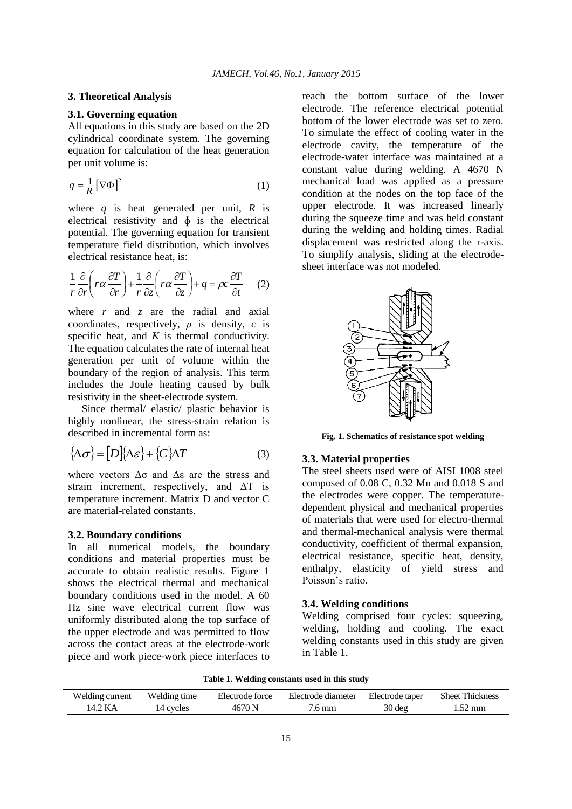#### **3. Theoretical Analysis**

#### **3.1. Governing equation**

All equations in this study are based on the 2D cylindrical coordinate system. The governing equation for calculation of the heat generation per unit volume is:

$$
q = \frac{1}{R} \left[ \nabla \Phi \right]^2 \tag{1}
$$

where  $q$  is heat generated per unit,  $R$  is electrical resistivity and  $\phi$  is the electrical potential. The governing equation for transient temperature field distribution, which involves electrical resistance heat, is:

$$
\frac{1}{r}\frac{\partial}{\partial r}\left(r\alpha\frac{\partial T}{\partial r}\right) + \frac{1}{r}\frac{\partial}{\partial z}\left(r\alpha\frac{\partial T}{\partial z}\right) + q = \rho c \frac{\partial T}{\partial t} \tag{2}
$$

where *r* and *z* are the radial and axial coordinates, respectively,  $\rho$  is density,  $c$  is specific heat, and  $K$  is thermal conductivity. The equation calculates the rate of internal heat generation per unit of volume within the boundary of the region of analysis. This term includes the Joule heating caused by bulk resistivity in the sheet-electrode system.

Since thermal/ elastic/ plastic behavior is highly nonlinear, the stress-strain relation is described in incremental form as:

$$
\{\Delta \sigma\} = [D]\{\Delta \varepsilon\} + \{C\}\Delta T \tag{3}
$$

where vectors  $\Delta\sigma$  and  $\Delta\varepsilon$  are the stress and strain increment, respectively, and  $\Delta T$  is temperature increment. Matrix D and vector C are material-related constants.

# **3.2. Boundary conditions**

In all numerical models, the boundary conditions and material properties must be accurate to obtain realistic results. Figure 1 shows the electrical thermal and mechanical boundary conditions used in the model. A 60 Hz sine wave electrical current flow was uniformly distributed along the top surface of the upper electrode and was permitted to flow across the contact areas at the electrode-work piece and work piece-work piece interfaces to

reach the bottom surface of the lower electrode. The reference electrical potential bottom of the lower electrode was set to zero. To simulate the effect of cooling water in the electrode cavity, the temperature of the electrode-water interface was maintained at a constant value during welding. A 4670 N mechanical load was applied as a pressure condition at the nodes on the top face of the upper electrode. It was increased linearly during the squeeze time and was held constant during the welding and holding times. Radial displacement was restricted along the r-axis. To simplify analysis, sliding at the electrodesheet interface was not modeled.



**Fig. 1. Schematics of resistance spot welding**

## **3.3. Material properties**

The steel sheets used were of AISI 1008 steel composed of 0.08 C, 0.32 Mn and 0.018 S and the electrodes were copper. The temperaturedependent physical and mechanical properties of materials that were used for electro-thermal and thermal-mechanical analysis were thermal conductivity, coefficient of thermal expansion, electrical resistance, specific heat, density, enthalpy, elasticity of yield stress and Poisson's ratio.

### **3.4. Welding conditions**

Welding comprised four cycles: squeezing, welding, holding and cooling. The exact welding constants used in this study are given in Table 1.

**Table 1. Welding constants used in this study**

| Welding<br>current | Welding<br>time | $\blacksquare$<br>torce<br>Electrode | : diameter<br>Electrode | Electrode<br>taper | <b>Sheet</b><br><b>TIME</b><br>hickness |  |
|--------------------|-----------------|--------------------------------------|-------------------------|--------------------|-----------------------------------------|--|
|                    | cycles          | $\overline{AB}$                      | mm                      | 30<br>der          | mm<br>س                                 |  |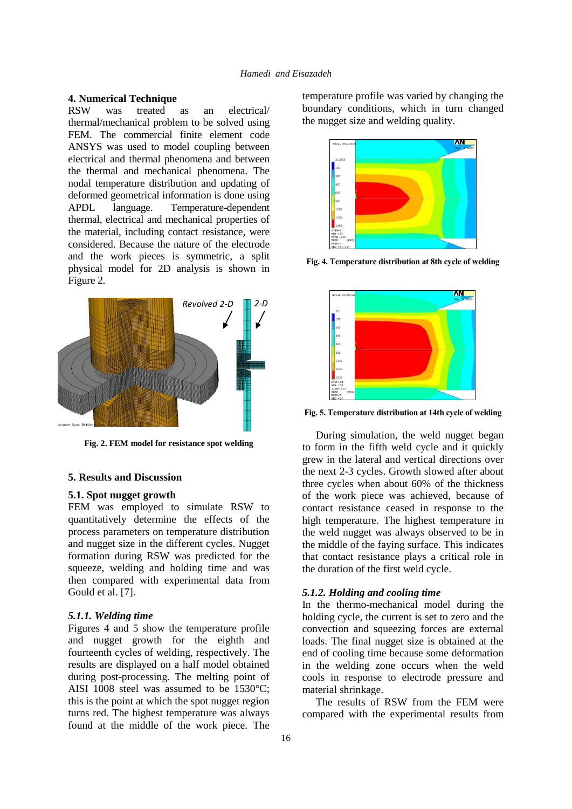# **4. Numerical Technique**

was treated as an electrical/ thermal/mechanical problem to be solved using FEM. The commercial finite element code ANSYS was used to model coupling between electrical and thermal phenomena and between the thermal and mechanical phenomena. The nodal temperature distribution and updating of deformed geometrical information is done using APDL language. Temperature-dependent thermal, electrical and mechanical properties of the material, including contact resistance, were considered. Because the nature of the electrode and the work pieces is symmetric, a split physical model for 2D analysis is shown in Figure 2.



**Fig. 2. FEM model for resistance spot welding**

#### **5. Results and Discussion**

#### **5.1. Spot nugget growth**

FEM was employed to simulate RSW to quantitatively determine the effects of the process parameters on temperature distribution and nugget size in the different cycles. Nugget formation during RSW was predicted for the squeeze, welding and holding time and was then compared with experimental data from Gould et al. [7].

### *5.1.1. Welding time*

Figures 4 and 5 show the temperature profile and nugget growth for the eighth and fourteenth cycles of welding, respectively. The results are displayed on a half model obtained during post-processing. The melting point of AISI 1008 steel was assumed to be 1530°C; this is the point at which the spot nugget region turns red. The highest temperature was always found at the middle of the work piece. The

temperature profile was varied by changing the boundary conditions, which in turn changed the nugget size and welding quality.



**Fig. 4. Temperature distribution at 8th cycle of welding** 



**Fig. 5. Temperature distribution at 14th cycle of welding** 

During simulation, the weld nugget began to form in the fifth weld cycle and it quickly grew in the lateral and vertical directions over the next 2-3 cycles. Growth slowed after about three cycles when about 60% of the thickness of the work piece was achieved, because of contact resistance ceased in response to the high temperature. The highest temperature in the weld nugget was always observed to be in the middle of the faying surface. This indicates that contact resistance plays a critical role in the duration of the first weld cycle.

# *5.1.2. Holding and cooling time*

In the thermo-mechanical model during the holding cycle, the current is set to zero and the convection and squeezing forces are external loads. The final nugget size is obtained at the end of cooling time because some deformation in the welding zone occurs when the weld cools in response to electrode pressure and material shrinkage.

The results of RSW from the FEM were compared with the experimental results from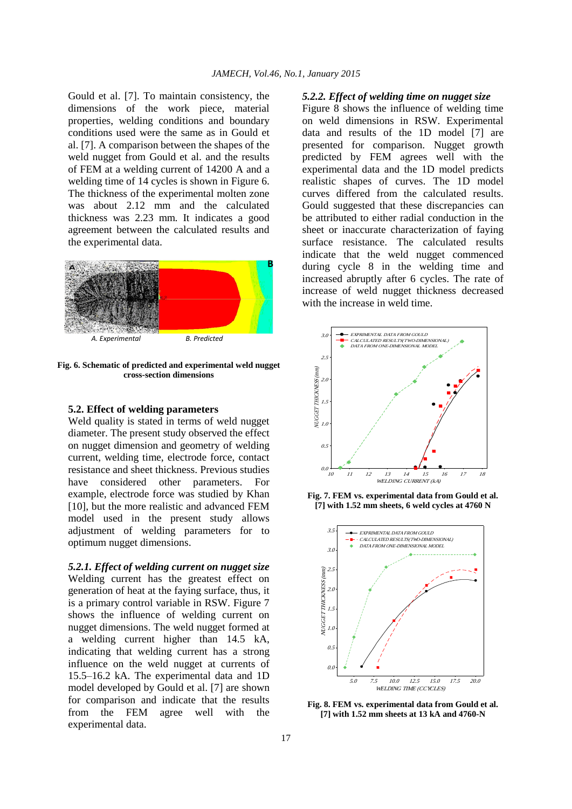Gould et al. [7]. To maintain consistency, the dimensions of the work piece, material properties, welding conditions and boundary conditions used were the same as in Gould et al. [7]. A comparison between the shapes of the weld nugget from Gould et al. and the results of FEM at a welding current of 14200 A and a welding time of 14 cycles is shown in Figure 6. The thickness of the experimental molten zone was about 2.12 mm and the calculated thickness was 2.23 mm. It indicates a good agreement between the calculated results and the experimental data.



**Fig. 6. Schematic of predicted and experimental weld nugget cross-section dimensions**

#### **5.2. Effect of welding parameters**

Weld quality is stated in terms of weld nugget diameter. The present study observed the effect on nugget dimension and geometry of welding current, welding time, electrode force, contact resistance and sheet thickness. Previous studies have considered other parameters. For example, electrode force was studied by Khan [10], but the more realistic and advanced FEM model used in the present study allows adjustment of welding parameters for to optimum nugget dimensions.

*5.2.1. Effect of welding current on nugget size* Welding current has the greatest effect on generation of heat at the faying surface, thus, it is a primary control variable in RSW. Figure 7 shows the influence of welding current on nugget dimensions. The weld nugget formed at a welding current higher than 14.5 kA, indicating that welding current has a strong influence on the weld nugget at currents of 15.5–16.2 kA. The experimental data and 1D model developed by Gould et al. [7] are shown for comparison and indicate that the results from the FEM agree well with the experimental data.

#### *5.2.2. Effect of welding time on nugget size*

Figure 8 shows the influence of welding time on weld dimensions in RSW. Experimental data and results of the 1D model [7] are presented for comparison. Nugget growth predicted by FEM agrees well with the experimental data and the 1D model predicts realistic shapes of curves. The 1D model curves differed from the calculated results. Gould suggested that these discrepancies can be attributed to either radial conduction in the sheet or inaccurate characterization of faying surface resistance. The calculated results indicate that the weld nugget commenced during cycle 8 in the welding time and increased abruptly after 6 cycles. The rate of increase of weld nugget thickness decreased with the increase in weld time.







**Fig. 8. FEM vs. experimental data from Gould et al. [7] with 1.52 mm sheets at 13 kA and 4760-N**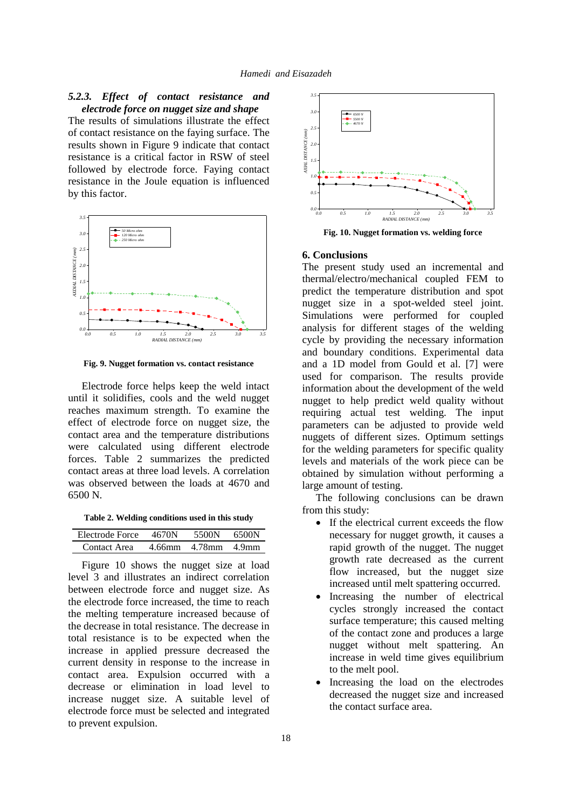# *5.2.3. Effect of contact resistance and electrode force on nugget size and shape*

The results of simulations illustrate the effect of contact resistance on the faying surface. The results shown in Figure 9 indicate that contact resistance is a critical factor in RSW of steel followed by electrode force. Faying contact resistance in the Joule equation is influenced by this factor.



**Fig. 9. Nugget formation vs. contact resistance**

Electrode force helps keep the weld intact until it solidifies, cools and the weld nugget reaches maximum strength. To examine the effect of electrode force on nugget size, the contact area and the temperature distributions were calculated using different electrode forces. Table 2 summarizes the predicted contact areas at three load levels. A correlation was observed between the loads at 4670 and 6500 N.

**Table 2. Welding conditions used in this study**

| Electrode Force | 4670N  | 5500N        | 6500N |
|-----------------|--------|--------------|-------|
| Contact Area    | 4.66mm | 4.78mm 4.9mm |       |

Figure 10 shows the nugget size at load level 3 and illustrates an indirect correlation between electrode force and nugget size. As the electrode force increased, the time to reach the melting temperature increased because of the decrease in total resistance. The decrease in total resistance is to be expected when the increase in applied pressure decreased the current density in response to the increase in contact area. Expulsion occurred with a decrease or elimination in load level to increase nugget size. A suitable level of electrode force must be selected and integrated to prevent expulsion.



**Fig. 10. Nugget formation vs. welding force**

#### **6. Conclusions**

The present study used an incremental and thermal/electro/mechanical coupled FEM to predict the temperature distribution and spot nugget size in a spot-welded steel joint. Simulations were performed for coupled analysis for different stages of the welding cycle by providing the necessary information and boundary conditions. Experimental data and a 1D model from Gould et al. [7] were used for comparison. The results provide information about the development of the weld nugget to help predict weld quality without requiring actual test welding. The input parameters can be adjusted to provide weld nuggets of different sizes. Optimum settings for the welding parameters for specific quality levels and materials of the work piece can be obtained by simulation without performing a large amount of testing.

The following conclusions can be drawn from this study:

- If the electrical current exceeds the flow necessary for nugget growth, it causes a rapid growth of the nugget. The nugget growth rate decreased as the current flow increased, but the nugget size increased until melt spattering occurred.
- Increasing the number of electrical cycles strongly increased the contact surface temperature; this caused melting of the contact zone and produces a large nugget without melt spattering. An increase in weld time gives equilibrium to the melt pool.
- Increasing the load on the electrodes decreased the nugget size and increased the contact surface area.